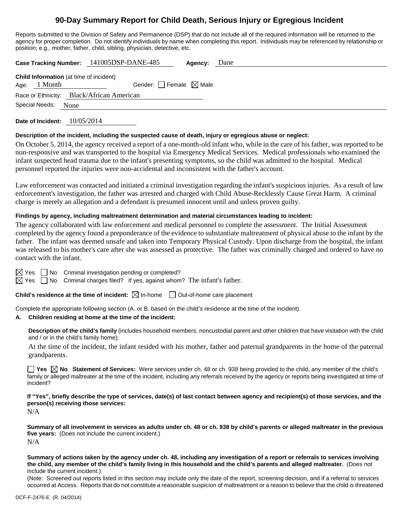# **90-Day Summary Report for Child Death, Serious Injury or Egregious Incident**

Reports submitted to the Division of Safety and Permanence (DSP) that do not include all of the required information will be returned to the agency for proper completion. Do not identify individuals by name when completing this report. Individuals may be referenced by relationship or position; e.g., mother, father, child, sibling, physician, detective, etc.

|                                                |         | Case Tracking Number: 141005DSP-DANE-485 | Agency: | Dane |  |  |  |
|------------------------------------------------|---------|------------------------------------------|---------|------|--|--|--|
| <b>Child Information</b> (at time of incident) |         |                                          |         |      |  |  |  |
| Age:                                           | 1 Month | Gender: Female $\boxtimes$ Male          |         |      |  |  |  |
| Race or Ethnicity: Black/African American      |         |                                          |         |      |  |  |  |
| Special Needs:                                 | None    |                                          |         |      |  |  |  |
|                                                |         |                                          |         |      |  |  |  |

**Date of Incident:** 10/05/2014

#### **Description of the incident, including the suspected cause of death, injury or egregious abuse or neglect:**

On October 5, 2014, the agency received a report of a one-month-old infant who, while in the care of his father, was reported to be non-responsive and was transported to the hospital via Emergency Medical Services. Medical professionals who examined the infant suspected head trauma due to the infant's presenting symptoms, so the child was admitted to the hospital. Medical personnel reported the injuries were non-accidental and inconsistent with the father's account.

Law enforcement was contacted and initiated a criminal investigation regarding the infant's suspicious injuries. As a result of law enforcement's investigation, the father was arrested and charged with Child Abuse-Recklessly Cause Great Harm. A criminal charge is merely an allegation and a defendant is presumed innocent until and unless proven guilty.

## **Findings by agency, including maltreatment determination and material circumstances leading to incident:**

The agency collaborated with law enforcement and medical personnel to complete the assessment. The Initial Assessment completed by the agency found a preponderance of the evidence to substantiate maltreatment of physical abuse to the infant by the father. The infant was deemed unsafe and taken into Temporary Physical Custody. Upon discharge from the hospital, the infant was released to his mother's care after she was assessed as protective. The father was criminally charged and ordered to have no contact with the infant.

 $\boxtimes$  Yes  $\Box$  No Criminal investigation pending or completed?

 $\boxtimes$  Yes  $\Box$  No Criminal charges filed? If yes, against whom? The infant's father.

**Child's residence at the time of incident:**  $\boxtimes$  In-home  $\Box$  Out-of-home care placement

Complete the appropriate following section (A. or B. based on the child's residence at the time of the incident).

#### **A. Children residing at home at the time of the incident:**

**Description of the child's family** (includes household members, noncustodial parent and other children that have visitation with the child and / or in the child's family home):

 At the time of the incident, the infant resided with his mother, father and paternal grandparents in the home of the paternal grandparents.

■ Yes **No** Statement of Services: Were services under ch. 48 or ch. 938 being provided to the child, any member of the child's family or alleged maltreater at the time of the incident, including any referrals received by the agency or reports being investigated at time of incident?

**If "Yes", briefly describe the type of services, date(s) of last contact between agency and recipient(s) of those services, and the person(s) receiving those services:** 

N/A

**Summary of all involvement in services as adults under ch. 48 or ch. 938 by child's parents or alleged maltreater in the previous five years:** (Does not include the current incident.) N/A

**Summary of actions taken by the agency under ch. 48, including any investigation of a report or referrals to services involving the child, any member of the child's family living in this household and the child's parents and alleged maltreater.** (Does not include the current incident.)

(Note: Screened out reports listed in this section may include only the date of the report, screening decision, and if a referral to services occurred at Access. Reports that do not constitute a reasonable suspicion of maltreatment or a reason to believe that the child is threatened